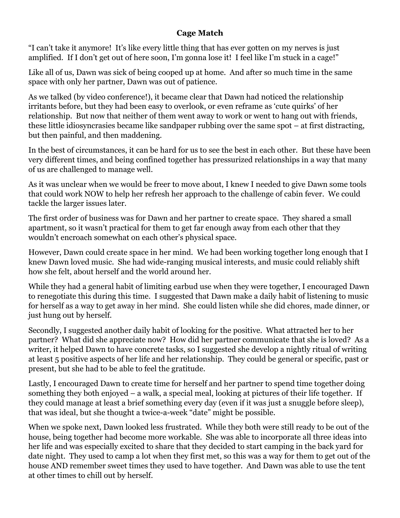## **Cage Match**

"I can't take it anymore! It's like every little thing that has ever gotten on my nerves is just amplified. If I don't get out of here soon, I'm gonna lose it! I feel like I'm stuck in a cage!"

Like all of us, Dawn was sick of being cooped up at home. And after so much time in the same space with only her partner, Dawn was out of patience.

As we talked (by video conference!), it became clear that Dawn had noticed the relationship irritants before, but they had been easy to overlook, or even reframe as 'cute quirks' of her relationship. But now that neither of them went away to work or went to hang out with friends, these little idiosyncrasies became like sandpaper rubbing over the same spot – at first distracting, but then painful, and then maddening.

In the best of circumstances, it can be hard for us to see the best in each other. But these have been very different times, and being confined together has pressurized relationships in a way that many of us are challenged to manage well.

As it was unclear when we would be freer to move about, I knew I needed to give Dawn some tools that could work NOW to help her refresh her approach to the challenge of cabin fever. We could tackle the larger issues later.

The first order of business was for Dawn and her partner to create space. They shared a small apartment, so it wasn't practical for them to get far enough away from each other that they wouldn't encroach somewhat on each other's physical space.

However, Dawn could create space in her mind. We had been working together long enough that I knew Dawn loved music. She had wide-ranging musical interests, and music could reliably shift how she felt, about herself and the world around her.

While they had a general habit of limiting earbud use when they were together, I encouraged Dawn to renegotiate this during this time. I suggested that Dawn make a daily habit of listening to music for herself as a way to get away in her mind. She could listen while she did chores, made dinner, or just hung out by herself.

Secondly, I suggested another daily habit of looking for the positive. What attracted her to her partner? What did she appreciate now? How did her partner communicate that she is loved? As a writer, it helped Dawn to have concrete tasks, so I suggested she develop a nightly ritual of writing at least 5 positive aspects of her life and her relationship. They could be general or specific, past or present, but she had to be able to feel the gratitude.

Lastly, I encouraged Dawn to create time for herself and her partner to spend time together doing something they both enjoyed – a walk, a special meal, looking at pictures of their life together. If they could manage at least a brief something every day (even if it was just a snuggle before sleep), that was ideal, but she thought a twice-a-week "date" might be possible.

When we spoke next, Dawn looked less frustrated. While they both were still ready to be out of the house, being together had become more workable. She was able to incorporate all three ideas into her life and was especially excited to share that they decided to start camping in the back yard for date night. They used to camp a lot when they first met, so this was a way for them to get out of the house AND remember sweet times they used to have together. And Dawn was able to use the tent at other times to chill out by herself.